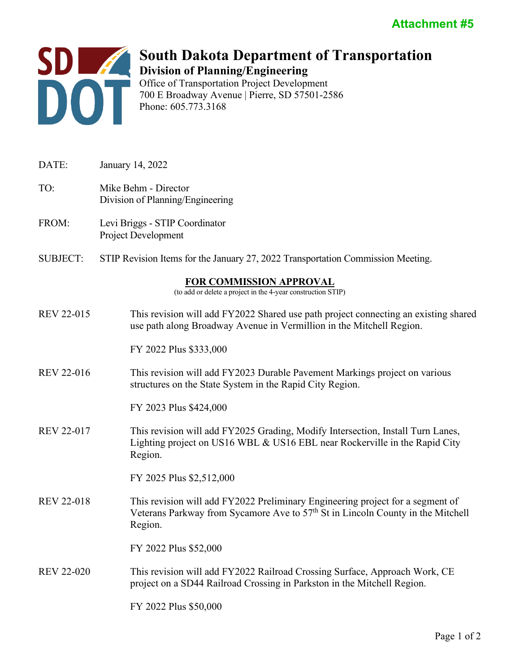

## **South Dakota Department of Transportation Division of Planning/Engineering** Office of Transportation Project Development

700 E Broadway Avenue | Pierre, SD 57501-2586 Phone: 605.773.3168

| DATE:                                                                                   | January 14, 2022                                                                                                                                                                         |
|-----------------------------------------------------------------------------------------|------------------------------------------------------------------------------------------------------------------------------------------------------------------------------------------|
| TO:                                                                                     | Mike Behm - Director<br>Division of Planning/Engineering                                                                                                                                 |
| FROM:                                                                                   | Levi Briggs - STIP Coordinator<br><b>Project Development</b>                                                                                                                             |
| <b>SUBJECT:</b>                                                                         | STIP Revision Items for the January 27, 2022 Transportation Commission Meeting.                                                                                                          |
| FOR COMMISSION APPROVAL<br>(to add or delete a project in the 4-year construction STIP) |                                                                                                                                                                                          |
| <b>REV 22-015</b>                                                                       | This revision will add FY2022 Shared use path project connecting an existing shared<br>use path along Broadway Avenue in Vermillion in the Mitchell Region.                              |
|                                                                                         | FY 2022 Plus \$333,000                                                                                                                                                                   |
| <b>REV 22-016</b>                                                                       | This revision will add FY2023 Durable Pavement Markings project on various<br>structures on the State System in the Rapid City Region.                                                   |
|                                                                                         | FY 2023 Plus \$424,000                                                                                                                                                                   |
| <b>REV 22-017</b>                                                                       | This revision will add FY2025 Grading, Modify Intersection, Install Turn Lanes,<br>Lighting project on US16 WBL & US16 EBL near Rockerville in the Rapid City<br>Region.                 |
|                                                                                         | FY 2025 Plus \$2,512,000                                                                                                                                                                 |
| <b>REV 22-018</b>                                                                       | This revision will add FY2022 Preliminary Engineering project for a segment of<br>Veterans Parkway from Sycamore Ave to 57 <sup>th</sup> St in Lincoln County in the Mitchell<br>Region. |
|                                                                                         | FY 2022 Plus \$52,000                                                                                                                                                                    |
| <b>REV 22-020</b>                                                                       | This revision will add FY2022 Railroad Crossing Surface, Approach Work, CE<br>project on a SD44 Railroad Crossing in Parkston in the Mitchell Region.                                    |
|                                                                                         | FY 2022 Plus \$50,000                                                                                                                                                                    |